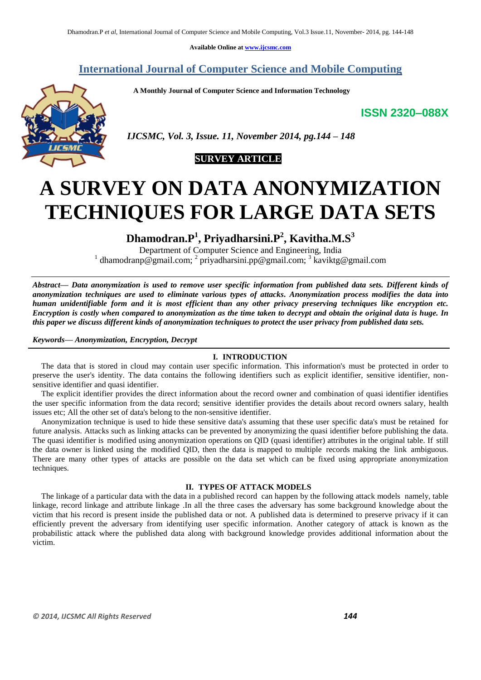**Available Online at [www.ijcsmc.com](http://www.ijcsmc.com/)**

**International Journal of Computer Science and Mobile Computing**

 **A Monthly Journal of Computer Science and Information Technology**

**ISSN 2320–088X**



 *IJCSMC, Vol. 3, Issue. 11, November 2014, pg.144 – 148*

# **SURVEY ARTICLE**

# **A SURVEY ON DATA ANONYMIZATION TECHNIQUES FOR LARGE DATA SETS**

**Dhamodran.P<sup>1</sup> , Priyadharsini.P<sup>2</sup> , Kavitha.M.S<sup>3</sup>**

Department of Computer Science and Engineering, India <sup>1</sup> dhamodranp@gmail.com; <sup>2</sup> priyadharsini.pp@gmail.com; <sup>3</sup> kaviktg@gmail.com

*Abstract— Data anonymization is used to remove user specific information from published data sets. Different kinds of anonymization techniques are used to eliminate various types of attacks. Anonymization process modifies the data into human unidentifiable form and it is most efficient than any other privacy preserving techniques like encryption etc. Encryption is costly when compared to anonymization as the time taken to decrypt and obtain the original data is huge. In this paper we discuss different kinds of anonymization techniques to protect the user privacy from published data sets.*

*Keywords— Anonymization, Encryption, Decrypt*

# **I. INTRODUCTION**

The data that is stored in cloud may contain user specific information. This information's must be protected in order to preserve the user's identity. The data contains the following identifiers such as explicit identifier, sensitive identifier, nonsensitive identifier and quasi identifier.

The explicit identifier provides the direct information about the record owner and combination of quasi identifier identifies the user specific information from the data record; sensitive identifier provides the details about record owners salary, health issues etc; All the other set of data's belong to the non-sensitive identifier.

Anonymization technique is used to hide these sensitive data's assuming that these user specific data's must be retained for future analysis. Attacks such as linking attacks can be prevented by anonymizing the quasi identifier before publishing the data. The quasi identifier is modified using anonymization operations on QID (quasi identifier) attributes in the original table. If still the data owner is linked using the modified QID, then the data is mapped to multiple records making the link ambiguous. There are many other types of attacks are possible on the data set which can be fixed using appropriate anonymization techniques.

# **II. TYPES OF ATTACK MODELS**

The linkage of a particular data with the data in a published record can happen by the following attack models namely, table linkage, record linkage and attribute linkage .In all the three cases the adversary has some background knowledge about the victim that his record is present inside the published data or not. A published data is determined to preserve privacy if it can efficiently prevent the adversary from identifying user specific information. Another category of attack is known as the probabilistic attack where the published data along with background knowledge provides additional information about the victim.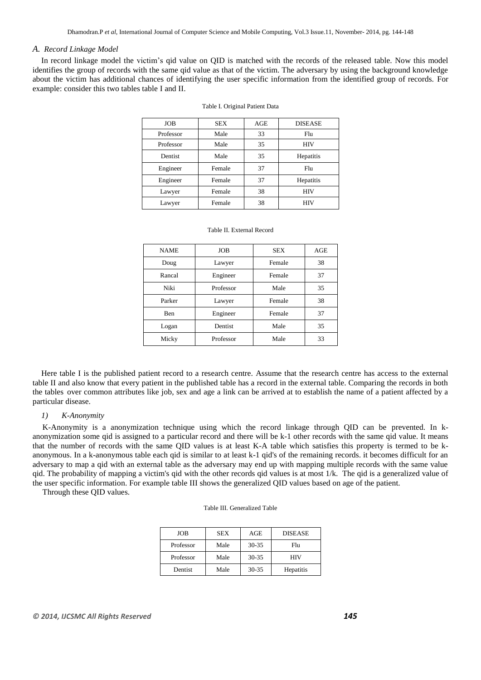#### *A. Record Linkage Model*

In record linkage model the victim's qid value on QID is matched with the records of the released table. Now this model identifies the group of records with the same qid value as that of the victim. The adversary by using the background knowledge about the victim has additional chances of identifying the user specific information from the identified group of records. For example: consider this two tables table I and II.

| <b>JOB</b> | <b>SEX</b> | AGE | <b>DISEASE</b> |
|------------|------------|-----|----------------|
| Professor  | Male       | 33  | Flu            |
| Professor  | Male       | 35  | <b>HIV</b>     |
| Dentist    | Male       | 35  | Hepatitis      |
| Engineer   | Female     | 37  | Flu            |
| Engineer   | Female     | 37  | Hepatitis      |
| Lawyer     | Female     | 38  | <b>HIV</b>     |
| Lawyer     | Female     | 38  | <b>HIV</b>     |

#### Table II. External Record

| <b>NAME</b> | <b>JOB</b> | <b>SEX</b> | AGE |
|-------------|------------|------------|-----|
| Doug        | Lawyer     | Female     | 38  |
| Rancal      | Engineer   | Female     | 37  |
| Niki        | Professor  | Male       | 35  |
| Parker      | Lawyer     | Female     | 38  |
| Ben         | Engineer   | Female     | 37  |
| Logan       | Dentist    | Male       | 35  |
| Micky       | Professor  | Male<br>33 |     |

Here table I is the published patient record to a research centre. Assume that the research centre has access to the external table II and also know that every patient in the published table has a record in the external table. Comparing the records in both the tables over common attributes like job, sex and age a link can be arrived at to establish the name of a patient affected by a particular disease.

#### *1) K-Anonymity*

K-Anonymity is a anonymization technique using which the record linkage through QID can be prevented. In kanonymization some qid is assigned to a particular record and there will be k-1 other records with the same qid value. It means that the number of records with the same QID values is at least K-A table which satisfies this property is termed to be kanonymous. In a k-anonymous table each qid is similar to at least k-1 qid's of the remaining records. it becomes difficult for an adversary to map a qid with an external table as the adversary may end up with mapping multiple records with the same value qid. The probability of mapping a victim's qid with the other records qid values is at most 1/k. The qid is a generalized value of the user specific information. For example table III shows the generalized QID values based on age of the patient.

Through these QID values.

| JOB       | <b>SEX</b> | AGE       | <b>DISEASE</b> |
|-----------|------------|-----------|----------------|
| Professor | Male       | $30 - 35$ | Flu            |
| Professor | Male       | $30 - 35$ | HIV            |
| Dentist   | Male       | $30 - 35$ | Hepatitis      |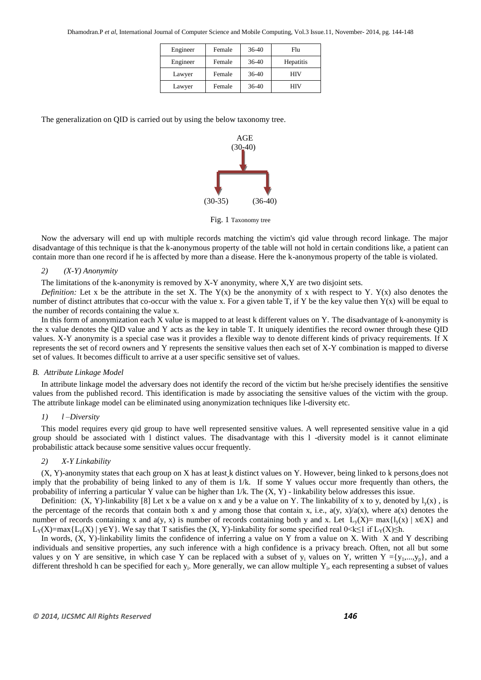| Engineer | Female | $36-40$ | Flu       |
|----------|--------|---------|-----------|
| Engineer | Female | $36-40$ | Hepatitis |
| Lawyer   | Female | $36-40$ | HIV       |
| Lawyer   | Female | $36-40$ | НIV       |

The generalization on QID is carried out by using the below taxonomy tree.



Fig. 1 Taxonomy tree

Now the adversary will end up with multiple records matching the victim's qid value through record linkage. The major disadvantage of this technique is that the k-anonymous property of the table will not hold in certain conditions like, a patient can contain more than one record if he is affected by more than a disease. Here the k-anonymous property of the table is violated.

#### *2) (X-Y) Anonymity*

The limitations of the k-anonymity is removed by X-Y anonymity, where X,Y are two disjoint sets.

*Definition:* Let x be the attribute in the set X. The  $Y(x)$  be the anonymity of x with respect to Y.  $Y(x)$  also denotes the number of distinct attributes that co-occur with the value x. For a given table T, if Y be the key value then  $Y(x)$  will be equal to the number of records containing the value x.

In this form of anonymization each X value is mapped to at least k different values on Y. The disadvantage of k-anonymity is the x value denotes the QID value and Y acts as the key in table T. It uniquely identifies the record owner through these QID values. X-Y anonymity is a special case was it provides a flexible way to denote different kinds of privacy requirements. If X represents the set of record owners and Y represents the sensitive values then each set of X-Y combination is mapped to diverse set of values. It becomes difficult to arrive at a user specific sensitive set of values.

#### *B. Attribute Linkage Model*

In attribute linkage model the adversary does not identify the record of the victim but he/she precisely identifies the sensitive values from the published record. This identification is made by associating the sensitive values of the victim with the group. The attribute linkage model can be eliminated using anonymization techniques like l-diversity etc.

#### *1) l –Diversity*

This model requires every qid group to have well represented sensitive values. A well represented sensitive value in a qid group should be associated with l distinct values. The disadvantage with this l -diversity model is it cannot eliminate probabilistic attack because some sensitive values occur frequently.

#### *2) X-Y Linkability*

(X, Y)-anonymity states that each group on X has at least k distinct values on Y. However, being linked to k persons does not imply that the probability of being linked to any of them is  $1/k$ . If some Y values occur more frequently than others, the probability of inferring a particular Y value can be higher than  $1/k$ . The  $(X, Y)$  - linkability below addresses this issue.

Definition: (X, Y)-linkability [8] Let x be a value on x and y be a value on Y. The linkability of x to y, denoted by  $l_v(x)$ , is the percentage of the records that contain both x and y among those that contain x, i.e.,  $a(y, x)/a(x)$ , where  $a(x)$  denotes the number of records containing x and a(y, x) is number of records containing both y and x. Let  $L_v(X) = \max\{l_v(x) | x \in X\}$  and L<sub>Y</sub>(X)=max{L<sub>y</sub>(X) | y∈Y}. We say that T satisfies the (X, Y)-linkability for some specified real 0<k≤1 if L<sub>Y</sub>(X)≤h.

In words, (X, Y)-linkability limits the confidence of inferring a value on Y from a value on X. With X and Y describing individuals and sensitive properties, any such inference with a high confidence is a privacy breach. Often, not all but some values y on Y are sensitive, in which case Y can be replaced with a subset of  $y_i$  values on Y, written  $Y = \{y_1, ..., y_n\}$ , and a different threshold h can be specified for each  $y_i$ . More generally, we can allow multiple  $Y_i$ , each representing a subset of values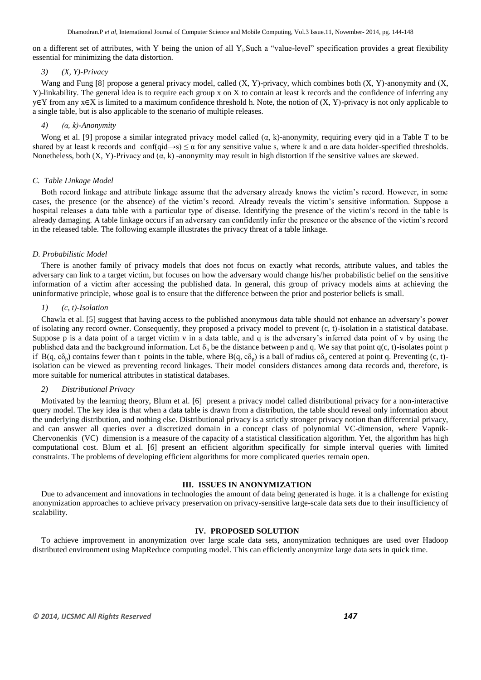on a different set of attributes, with Y being the union of all Y<sub>i</sub>.Such a "value-level" specification provides a great flexibility essential for minimizing the data distortion.

#### *3) (X, Y)-Privacy*

Wang and Fung [8] propose a general privacy model, called (X, Y)-privacy, which combines both (X, Y)-anonymity and (X, Y)-linkability. The general idea is to require each group x on X to contain at least k records and the confidence of inferring any y∈Y from any x∈X is limited to a maximum confidence threshold h. Note, the notion of (X, Y)-privacy is not only applicable to a single table, but is also applicable to the scenario of multiple releases.

#### *4) (α, k)-Anonymity*

Wong et al. [9] propose a similar integrated privacy model called  $(\alpha, k)$ -anonymity, requiring every qid in a Table T to be shared by at least k records and conf(qid→s)  $\leq \alpha$  for any sensitive value s, where k and  $\alpha$  are data holder-specified thresholds. Nonetheless, both  $(X, Y)$ -Privacy and  $(\alpha, k)$  -anonymity may result in high distortion if the sensitive values are skewed.

#### *C. Table Linkage Model*

Both record linkage and attribute linkage assume that the adversary already knows the victim's record. However, in some cases, the presence (or the absence) of the victim's record. Already reveals the victim's sensitive information. Suppose a hospital releases a data table with a particular type of disease. Identifying the presence of the victim's record in the table is already damaging. A table linkage occurs if an adversary can confidently infer the presence or the absence of the victim's record in the released table. The following example illustrates the privacy threat of a table linkage.

#### *D. Probabilistic Model*

There is another family of privacy models that does not focus on exactly what records, attribute values, and tables the adversary can link to a target victim, but focuses on how the adversary would change his/her probabilistic belief on the sensitive information of a victim after accessing the published data. In general, this group of privacy models aims at achieving the uninformative principle, whose goal is to ensure that the difference between the prior and posterior beliefs is small.

#### *1) (c, t)-Isolation*

Chawla et al. [5] suggest that having access to the published anonymous data table should not enhance an adversary's power of isolating any record owner. Consequently, they proposed a privacy model to prevent (c, t)-isolation in a statistical database. Suppose p is a data point of a target victim v in a data table, and q is the adversary's inferred data point of v by using the published data and the background information. Let  $\delta_p$  be the distance between p and q. We say that point q(c, t)-isolates point p if B(q, c $\delta_p$ ) contains fewer than t points in the table, where B(q, c $\delta_p$ ) is a ball of radius c $\delta_p$  centered at point q. Preventing (c, t)isolation can be viewed as preventing record linkages. Their model considers distances among data records and, therefore, is more suitable for numerical attributes in statistical databases.

#### *2) Distributional Privacy*

Motivated by the learning theory, Blum et al. [6] present a privacy model called distributional privacy for a non-interactive query model. The key idea is that when a data table is drawn from a distribution, the table should reveal only information about the underlying distribution, and nothing else. Distributional privacy is a strictly stronger privacy notion than differential privacy, and can answer all queries over a discretized domain in a concept class of polynomial VC-dimension, where Vapnik-Chervonenkis (VC) dimension is a measure of the capacity of a statistical classification algorithm. Yet, the algorithm has high computational cost. Blum et al. [6] present an efficient algorithm specifically for simple interval queries with limited constraints. The problems of developing efficient algorithms for more complicated queries remain open.

#### **III. ISSUES IN ANONYMIZATION**

Due to advancement and innovations in technologies the amount of data being generated is huge. it is a challenge for existing anonymization approaches to achieve privacy preservation on privacy-sensitive large-scale data sets due to their insufficiency of scalability.

#### **IV. PROPOSED SOLUTION**

To achieve improvement in anonymization over large scale data sets, anonymization techniques are used over Hadoop distributed environment using MapReduce computing model. This can efficiently anonymize large data sets in quick time.